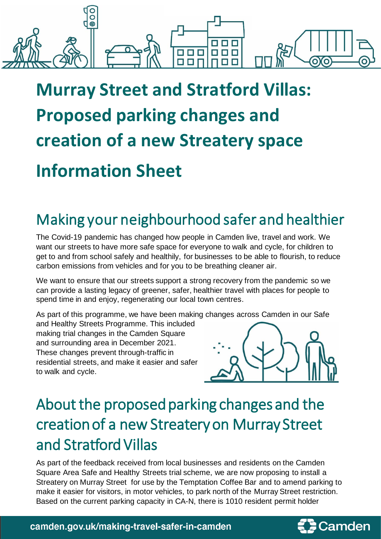

# **Murray Street and Stratford Villas: Proposed parking changes and creation of a new Streatery space Information Sheet**

### Making your neighbourhood safer and healthier

The Covid-19 pandemic has changed how people in Camden live, travel and work. We want our streets to have more safe space for everyone to walk and cycle, for children to get to and from school safely and healthily, for businesses to be able to flourish, to reduce carbon emissions from vehicles and for you to be breathing cleaner air.

We want to ensure that our streets support a strong recovery from the pandemic so we can provide a lasting legacy of greener, safer, healthier travel with places for people to spend time in and enjoy, regenerating our local town centres.

As part of this programme, we have been making changes across Camden in our Safe

and Healthy Streets Programme. This included making trial changes in the Camden Square and surrounding area in December 2021. These changes prevent through-traffic in residential streets, and make it easier and safer to walk and cycle.



## About the proposed parking changes and the creation of a new Streatery on Murray Street and Stratford Villas

As part of the feedback received from local businesses and residents on the Camden Square Area Safe and Healthy Streets trial scheme, we are now proposing to install a Streatery on Murray Street for use by the Temptation Coffee Bar and to amend parking to make it easier for visitors, in motor vehicles, to park north of the Murray Street restriction. Based on the current parking capacity in CA-N, there is 1010 resident permit holder

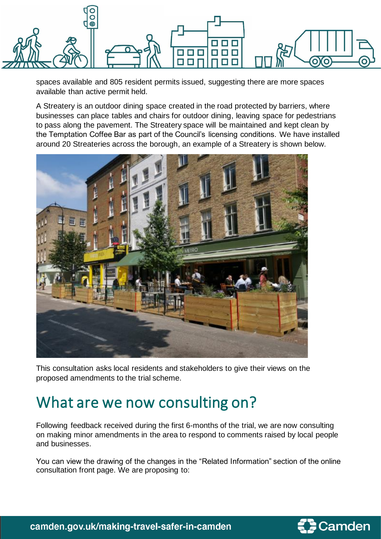

spaces available and 805 resident permits issued, suggesting there are more spaces available than active permit held.

A Streatery is an outdoor dining space created in the road protected by barriers, where businesses can place tables and chairs for outdoor dining, leaving space for pedestrians to pass along the pavement. The Streatery space will be maintained and kept clean by the Temptation Coffee Bar as part of the Council's licensing conditions. We have installed around 20 Streateries across the borough, an example of a Streatery is shown below.



This consultation asks local residents and stakeholders to give their views on the proposed amendments to the trial scheme.

### What are we now consulting on?

Following feedback received during the first 6-months of the trial, we are now consulting on making minor amendments in the area to respond to comments raised by local people and businesses.

You can view the drawing of the changes in the "Related Information" section of the online consultation front page. We are proposing to:



camden.gov.uk/making-travel-safer-in-camden